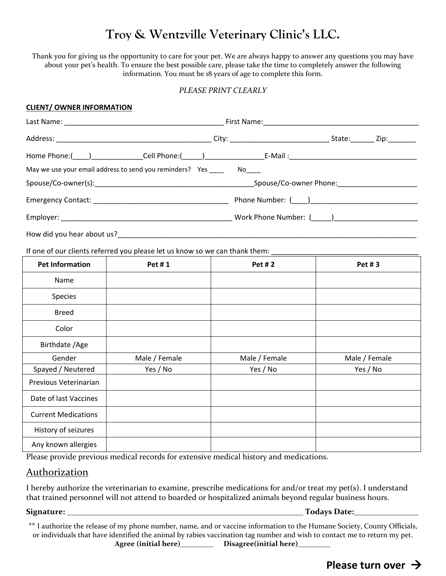# **Troy & Wentzville Veterinary Clinic's LLC.**

Thank you for giving us the opportunity to care for your pet. We are always happy to answer any questions you may have about your pet's health. To ensure the best possible care, please take the time to completely answer the following information. You must be 18 years of age to complete this form.

## *PLEASE PRINT CLEARLY*

### **CLIENT/ OWNER INFORMATION**

|                                                             | State: Zip: |
|-------------------------------------------------------------|-------------|
|                                                             |             |
| May we use your email address to send you reminders? Yes No |             |
|                                                             |             |
|                                                             |             |
|                                                             |             |
| How did you hear about us?                                  |             |

If one of our clients referred you please let us know so we can thank them: \_\_\_\_\_\_\_\_\_\_\_\_\_\_\_\_\_\_\_\_\_\_\_\_\_\_\_\_\_\_\_\_\_\_

| <b>Pet Information</b>     | Pet #1        | <b>Pet #2</b> | Pet #3        |
|----------------------------|---------------|---------------|---------------|
| Name                       |               |               |               |
| Species                    |               |               |               |
| <b>Breed</b>               |               |               |               |
| Color                      |               |               |               |
| Birthdate / Age            |               |               |               |
| Gender                     | Male / Female | Male / Female | Male / Female |
| Spayed / Neutered          | Yes / No      | Yes / No      | Yes / No      |
| Previous Veterinarian      |               |               |               |
| Date of last Vaccines      |               |               |               |
| <b>Current Medications</b> |               |               |               |
| History of seizures        |               |               |               |
| Any known allergies        |               |               |               |

Please provide previous medical records for extensive medical history and medications.

# Authorization

I hereby authorize the veterinarian to examine, prescribe medications for and/or treat my pet(s). I understand that trained personnel will not attend to boarded or hospitalized animals beyond regular business hours.

**Signature: \_\_\_\_\_\_\_\_\_\_\_\_\_\_\_\_\_\_\_\_\_\_\_\_\_\_\_\_\_\_\_\_\_\_\_\_\_\_\_\_\_\_\_\_\_\_\_\_\_\_\_\_\_\_\_\_\_\_\_ Todays Date:\_\_\_\_\_\_\_\_\_\_\_\_\_\_\_\_**

\*\* I authorize the release of my phone number, name, and or vaccine information to the Humane Society, County Officials, or individuals that have identified the animal by rabies vaccination tag number and wish to contact me to return my pet.

**Agree (initial here)\_\_\_\_\_\_\_\_\_ Disagree(initial here)\_\_\_\_\_\_\_\_\_**

**Please turn over**